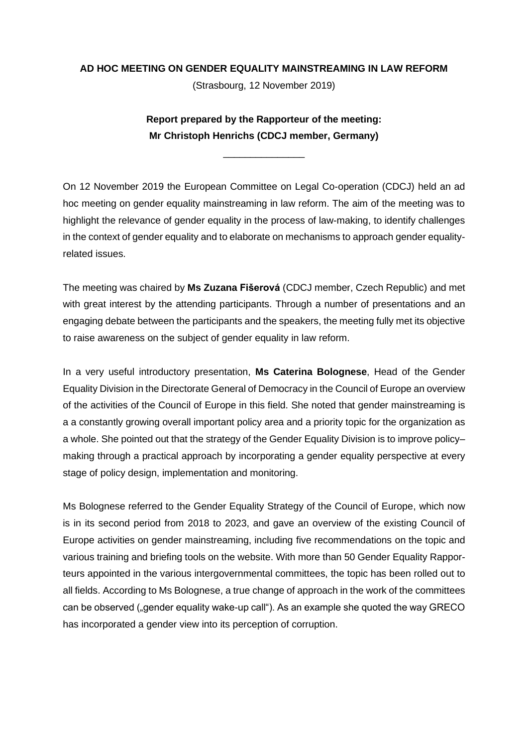## **AD HOC MEETING ON GENDER EQUALITY MAINSTREAMING IN LAW REFORM**

(Strasbourg, 12 November 2019)

**Report prepared by the Rapporteur of the meeting: Mr Christoph Henrichs (CDCJ member, Germany)**

\_\_\_\_\_\_\_\_\_\_\_\_\_\_\_

On 12 November 2019 the European Committee on Legal Co-operation (CDCJ) held an ad hoc meeting on gender equality mainstreaming in law reform. The aim of the meeting was to highlight the relevance of gender equality in the process of law-making, to identify challenges in the context of gender equality and to elaborate on mechanisms to approach gender equalityrelated issues.

The meeting was chaired by **Ms Zuzana Fišerová** (CDCJ member, Czech Republic) and met with great interest by the attending participants. Through a number of presentations and an engaging debate between the participants and the speakers, the meeting fully met its objective to raise awareness on the subject of gender equality in law reform.

In a very useful introductory presentation, **Ms Caterina Bolognese**, Head of the Gender Equality Division in the Directorate General of Democracy in the Council of Europe an overview of the activities of the Council of Europe in this field. She noted that gender mainstreaming is a a constantly growing overall important policy area and a priority topic for the organization as a whole. She pointed out that the strategy of the Gender Equality Division is to improve policy– making through a practical approach by incorporating a gender equality perspective at every stage of policy design, implementation and monitoring.

Ms Bolognese referred to the Gender Equality Strategy of the Council of Europe, which now is in its second period from 2018 to 2023, and gave an overview of the existing Council of Europe activities on gender mainstreaming, including five recommendations on the topic and various training and briefing tools on the website. With more than 50 Gender Equality Rapporteurs appointed in the various intergovernmental committees, the topic has been rolled out to all fields. According to Ms Bolognese, a true change of approach in the work of the committees can be observed ("gender equality wake-up call"). As an example she quoted the way GRECO has incorporated a gender view into its perception of corruption.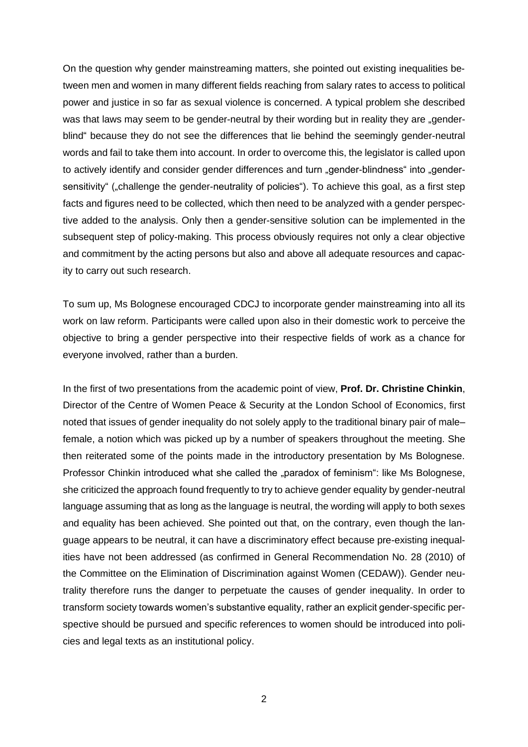On the question why gender mainstreaming matters, she pointed out existing inequalities between men and women in many different fields reaching from salary rates to access to political power and justice in so far as sexual violence is concerned. A typical problem she described was that laws may seem to be gender-neutral by their wording but in reality they are "genderblind" because they do not see the differences that lie behind the seemingly gender-neutral words and fail to take them into account. In order to overcome this, the legislator is called upon to actively identify and consider gender differences and turn "gender-blindness" into "gendersensitivity" ("challenge the gender-neutrality of policies"). To achieve this goal, as a first step facts and figures need to be collected, which then need to be analyzed with a gender perspective added to the analysis. Only then a gender-sensitive solution can be implemented in the subsequent step of policy-making. This process obviously requires not only a clear objective and commitment by the acting persons but also and above all adequate resources and capacity to carry out such research.

To sum up, Ms Bolognese encouraged CDCJ to incorporate gender mainstreaming into all its work on law reform. Participants were called upon also in their domestic work to perceive the objective to bring a gender perspective into their respective fields of work as a chance for everyone involved, rather than a burden.

In the first of two presentations from the academic point of view, **Prof. Dr. Christine Chinkin**, Director of the Centre of Women Peace & Security at the London School of Economics, first noted that issues of gender inequality do not solely apply to the traditional binary pair of male– female, a notion which was picked up by a number of speakers throughout the meeting. She then reiterated some of the points made in the introductory presentation by Ms Bolognese. Professor Chinkin introduced what she called the "paradox of feminism": like Ms Bolognese, she criticized the approach found frequently to try to achieve gender equality by gender-neutral language assuming that as long as the language is neutral, the wording will apply to both sexes and equality has been achieved. She pointed out that, on the contrary, even though the language appears to be neutral, it can have a discriminatory effect because pre-existing inequalities have not been addressed (as confirmed in General Recommendation No. 28 (2010) of the Committee on the Elimination of Discrimination against Women (CEDAW)). Gender neutrality therefore runs the danger to perpetuate the causes of gender inequality. In order to transform society towards women's substantive equality, rather an explicit gender-specific perspective should be pursued and specific references to women should be introduced into policies and legal texts as an institutional policy.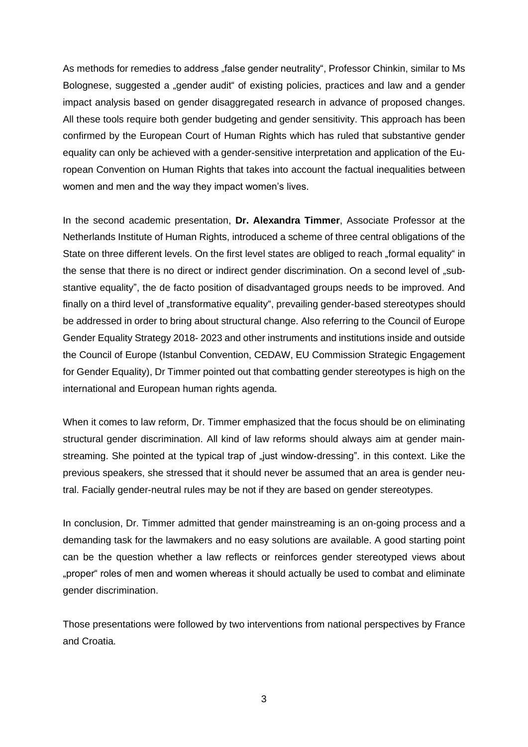As methods for remedies to address "false gender neutrality", Professor Chinkin, similar to Ms Bolognese, suggested a "gender audit" of existing policies, practices and law and a gender impact analysis based on gender disaggregated research in advance of proposed changes. All these tools require both gender budgeting and gender sensitivity. This approach has been confirmed by the European Court of Human Rights which has ruled that substantive gender equality can only be achieved with a gender-sensitive interpretation and application of the European Convention on Human Rights that takes into account the factual inequalities between women and men and the way they impact women's lives.

In the second academic presentation, **Dr. Alexandra Timmer**, Associate Professor at the Netherlands Institute of Human Rights, introduced a scheme of three central obligations of the State on three different levels. On the first level states are obliged to reach "formal equality" in the sense that there is no direct or indirect gender discrimination. On a second level of "substantive equality", the de facto position of disadvantaged groups needs to be improved. And finally on a third level of "transformative equality", prevailing gender-based stereotypes should be addressed in order to bring about structural change. Also referring to the Council of Europe Gender Equality Strategy 2018- 2023 and other instruments and institutions inside and outside the Council of Europe (Istanbul Convention, CEDAW, EU Commission Strategic Engagement for Gender Equality), Dr Timmer pointed out that combatting gender stereotypes is high on the international and European human rights agenda.

When it comes to law reform, Dr. Timmer emphasized that the focus should be on eliminating structural gender discrimination. All kind of law reforms should always aim at gender mainstreaming. She pointed at the typical trap of "just window-dressing". in this context. Like the previous speakers, she stressed that it should never be assumed that an area is gender neutral. Facially gender-neutral rules may be not if they are based on gender stereotypes.

In conclusion, Dr. Timmer admitted that gender mainstreaming is an on-going process and a demanding task for the lawmakers and no easy solutions are available. A good starting point can be the question whether a law reflects or reinforces gender stereotyped views about "proper" roles of men and women whereas it should actually be used to combat and eliminate gender discrimination.

Those presentations were followed by two interventions from national perspectives by France and Croatia.